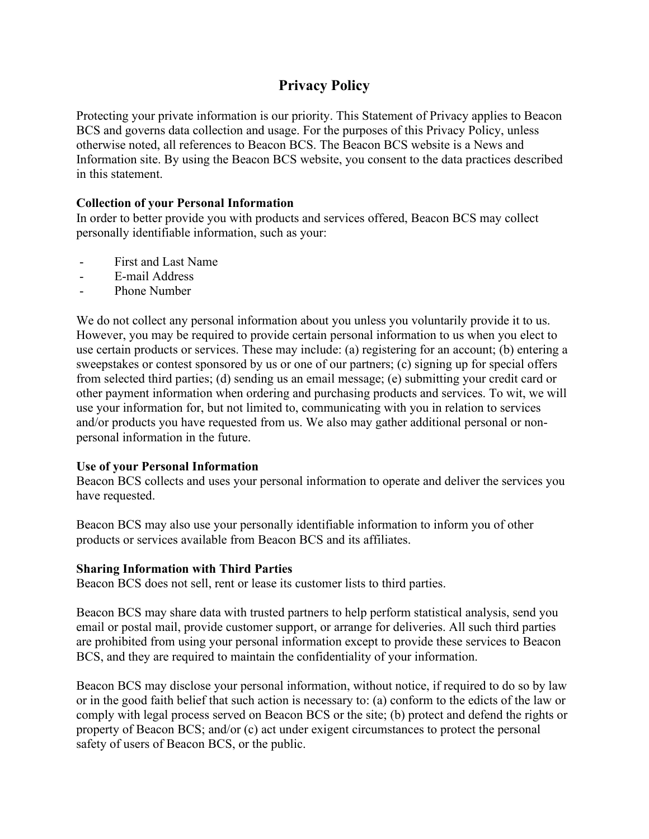# **Privacy Policy**

Protecting your private information is our priority. This Statement of Privacy applies to Beacon BCS and governs data collection and usage. For the purposes of this Privacy Policy, unless otherwise noted, all references to Beacon BCS. The Beacon BCS website is a News and Information site. By using the Beacon BCS website, you consent to the data practices described in this statement.

## **Collection of your Personal Information**

In order to better provide you with products and services offered, Beacon BCS may collect personally identifiable information, such as your:

- First and Last Name
- E-mail Address
- Phone Number

We do not collect any personal information about you unless you voluntarily provide it to us. However, you may be required to provide certain personal information to us when you elect to use certain products or services. These may include: (a) registering for an account; (b) entering a sweepstakes or contest sponsored by us or one of our partners; (c) signing up for special offers from selected third parties; (d) sending us an email message; (e) submitting your credit card or other payment information when ordering and purchasing products and services. To wit, we will use your information for, but not limited to, communicating with you in relation to services and/or products you have requested from us. We also may gather additional personal or nonpersonal information in the future.

## **Use of your Personal Information**

Beacon BCS collects and uses your personal information to operate and deliver the services you have requested.

Beacon BCS may also use your personally identifiable information to inform you of other products or services available from Beacon BCS and its affiliates.

#### **Sharing Information with Third Parties**

Beacon BCS does not sell, rent or lease its customer lists to third parties.

Beacon BCS may share data with trusted partners to help perform statistical analysis, send you email or postal mail, provide customer support, or arrange for deliveries. All such third parties are prohibited from using your personal information except to provide these services to Beacon BCS, and they are required to maintain the confidentiality of your information.

Beacon BCS may disclose your personal information, without notice, if required to do so by law or in the good faith belief that such action is necessary to: (a) conform to the edicts of the law or comply with legal process served on Beacon BCS or the site; (b) protect and defend the rights or property of Beacon BCS; and/or (c) act under exigent circumstances to protect the personal safety of users of Beacon BCS, or the public.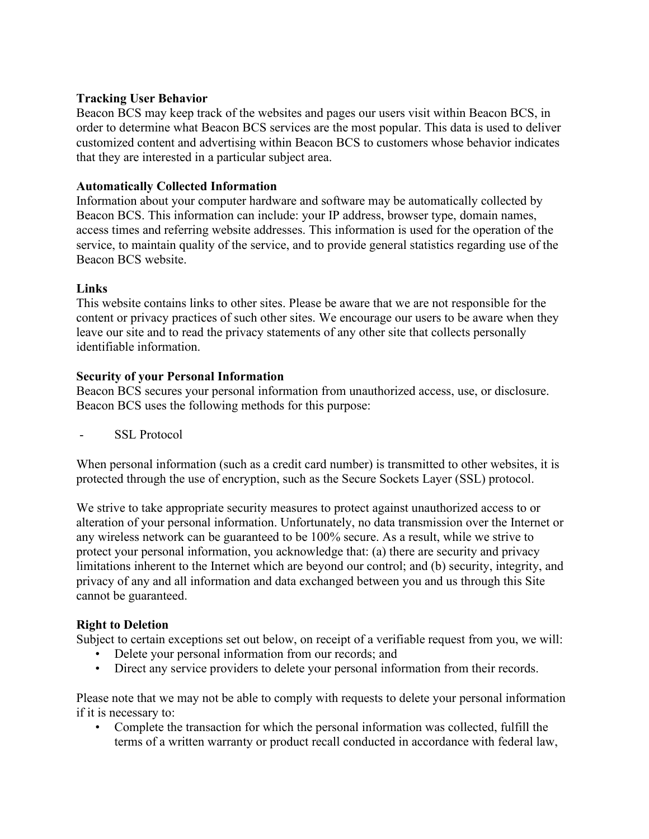#### **Tracking User Behavior**

Beacon BCS may keep track of the websites and pages our users visit within Beacon BCS, in order to determine what Beacon BCS services are the most popular. This data is used to deliver customized content and advertising within Beacon BCS to customers whose behavior indicates that they are interested in a particular subject area.

## **Automatically Collected Information**

Information about your computer hardware and software may be automatically collected by Beacon BCS. This information can include: your IP address, browser type, domain names, access times and referring website addresses. This information is used for the operation of the service, to maintain quality of the service, and to provide general statistics regarding use of the Beacon BCS website.

#### **Links**

This website contains links to other sites. Please be aware that we are not responsible for the content or privacy practices of such other sites. We encourage our users to be aware when they leave our site and to read the privacy statements of any other site that collects personally identifiable information.

#### **Security of your Personal Information**

Beacon BCS secures your personal information from unauthorized access, use, or disclosure. Beacon BCS uses the following methods for this purpose:

SSL Protocol

When personal information (such as a credit card number) is transmitted to other websites, it is protected through the use of encryption, such as the Secure Sockets Layer (SSL) protocol.

We strive to take appropriate security measures to protect against unauthorized access to or alteration of your personal information. Unfortunately, no data transmission over the Internet or any wireless network can be guaranteed to be 100% secure. As a result, while we strive to protect your personal information, you acknowledge that: (a) there are security and privacy limitations inherent to the Internet which are beyond our control; and (b) security, integrity, and privacy of any and all information and data exchanged between you and us through this Site cannot be guaranteed.

## **Right to Deletion**

Subject to certain exceptions set out below, on receipt of a verifiable request from you, we will:

- Delete your personal information from our records; and
- Direct any service providers to delete your personal information from their records.

Please note that we may not be able to comply with requests to delete your personal information if it is necessary to:

• Complete the transaction for which the personal information was collected, fulfill the terms of a written warranty or product recall conducted in accordance with federal law,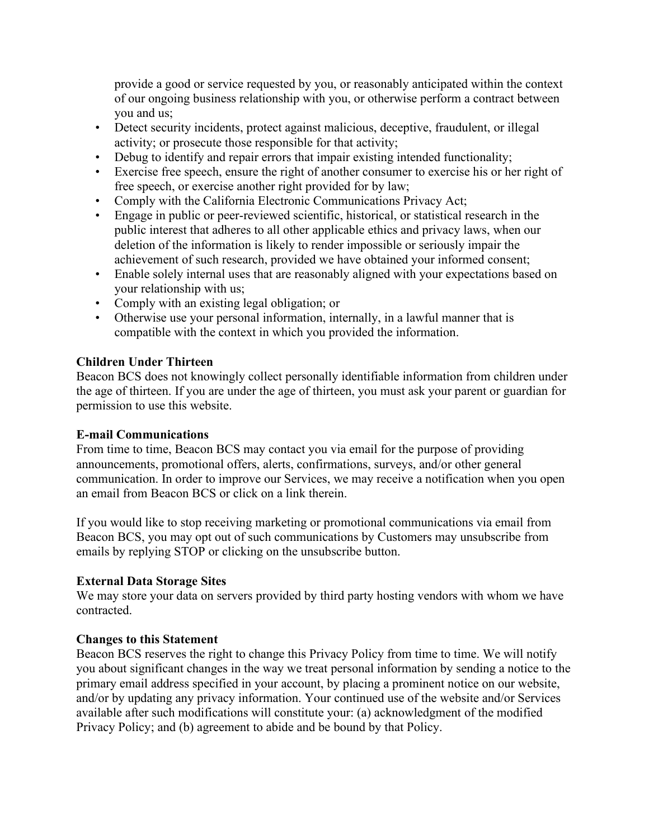provide a good or service requested by you, or reasonably anticipated within the context of our ongoing business relationship with you, or otherwise perform a contract between you and us;

- Detect security incidents, protect against malicious, deceptive, fraudulent, or illegal activity; or prosecute those responsible for that activity;
- Debug to identify and repair errors that impair existing intended functionality;
- Exercise free speech, ensure the right of another consumer to exercise his or her right of free speech, or exercise another right provided for by law;
- Comply with the California Electronic Communications Privacy Act;
- Engage in public or peer-reviewed scientific, historical, or statistical research in the public interest that adheres to all other applicable ethics and privacy laws, when our deletion of the information is likely to render impossible or seriously impair the achievement of such research, provided we have obtained your informed consent;
- Enable solely internal uses that are reasonably aligned with your expectations based on your relationship with us;
- Comply with an existing legal obligation; or
- Otherwise use your personal information, internally, in a lawful manner that is compatible with the context in which you provided the information.

# **Children Under Thirteen**

Beacon BCS does not knowingly collect personally identifiable information from children under the age of thirteen. If you are under the age of thirteen, you must ask your parent or guardian for permission to use this website.

## **E-mail Communications**

From time to time, Beacon BCS may contact you via email for the purpose of providing announcements, promotional offers, alerts, confirmations, surveys, and/or other general communication. In order to improve our Services, we may receive a notification when you open an email from Beacon BCS or click on a link therein.

If you would like to stop receiving marketing or promotional communications via email from Beacon BCS, you may opt out of such communications by Customers may unsubscribe from emails by replying STOP or clicking on the unsubscribe button.

## **External Data Storage Sites**

We may store your data on servers provided by third party hosting vendors with whom we have contracted.

## **Changes to this Statement**

Beacon BCS reserves the right to change this Privacy Policy from time to time. We will notify you about significant changes in the way we treat personal information by sending a notice to the primary email address specified in your account, by placing a prominent notice on our website, and/or by updating any privacy information. Your continued use of the website and/or Services available after such modifications will constitute your: (a) acknowledgment of the modified Privacy Policy; and (b) agreement to abide and be bound by that Policy.